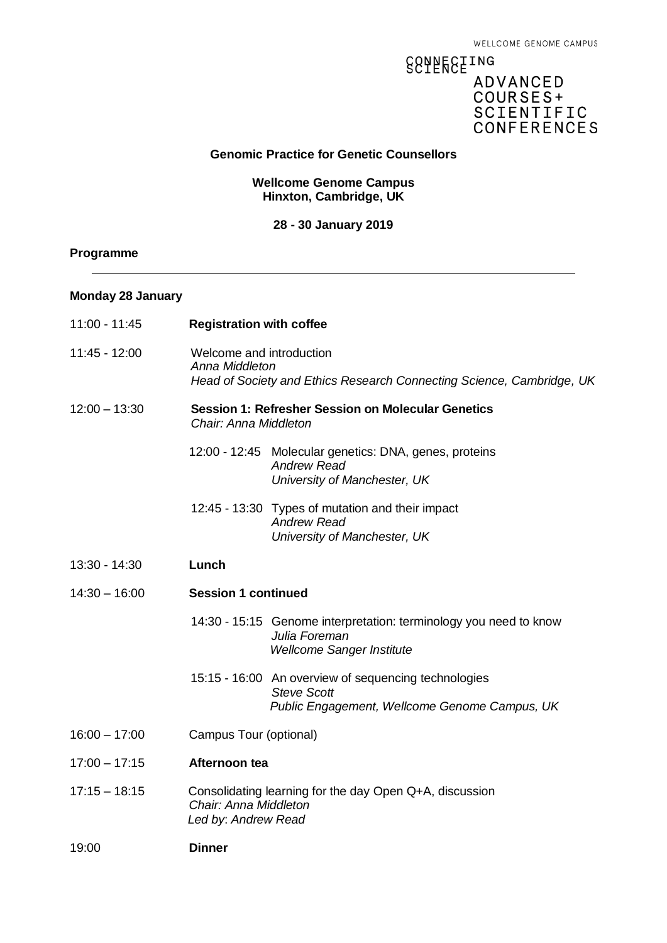## **SSTEESEING ADVANCED** COURSES+ SCIENTIFIC **CONFERENCES**

#### **Genomic Practice for Genetic Counsellors**

### **Wellcome Genome Campus Hinxton, Cambridge, UK**

### **28 - 30 January 2019**

### **Programme**

#### **Monday 28 January**

| 11:00 - 11:45   | <b>Registration with coffee</b>                                                                                     |                                                                                                                             |  |
|-----------------|---------------------------------------------------------------------------------------------------------------------|-----------------------------------------------------------------------------------------------------------------------------|--|
| 11:45 - 12:00   | Welcome and introduction<br>Anna Middleton<br>Head of Society and Ethics Research Connecting Science, Cambridge, UK |                                                                                                                             |  |
| $12:00 - 13:30$ | <b>Session 1: Refresher Session on Molecular Genetics</b><br>Chair: Anna Middleton                                  |                                                                                                                             |  |
|                 |                                                                                                                     | 12:00 - 12:45 Molecular genetics: DNA, genes, proteins<br><b>Andrew Read</b><br>University of Manchester, UK                |  |
|                 |                                                                                                                     | 12:45 - 13:30 Types of mutation and their impact<br><b>Andrew Read</b><br>University of Manchester, UK                      |  |
| 13:30 - 14:30   | Lunch                                                                                                               |                                                                                                                             |  |
| $14:30 - 16:00$ | <b>Session 1 continued</b>                                                                                          |                                                                                                                             |  |
|                 |                                                                                                                     | 14:30 - 15:15 Genome interpretation: terminology you need to know<br>Julia Foreman<br><b>Wellcome Sanger Institute</b>      |  |
|                 |                                                                                                                     | 15:15 - 16:00 An overview of sequencing technologies<br><b>Steve Scott</b><br>Public Engagement, Wellcome Genome Campus, UK |  |
| $16:00 - 17:00$ | Campus Tour (optional)                                                                                              |                                                                                                                             |  |
| $17:00 - 17:15$ | Afternoon tea                                                                                                       |                                                                                                                             |  |
| $17:15 - 18:15$ | Consolidating learning for the day Open Q+A, discussion<br>Chair: Anna Middleton<br>Led by: Andrew Read             |                                                                                                                             |  |
| 19:00           | <b>Dinner</b>                                                                                                       |                                                                                                                             |  |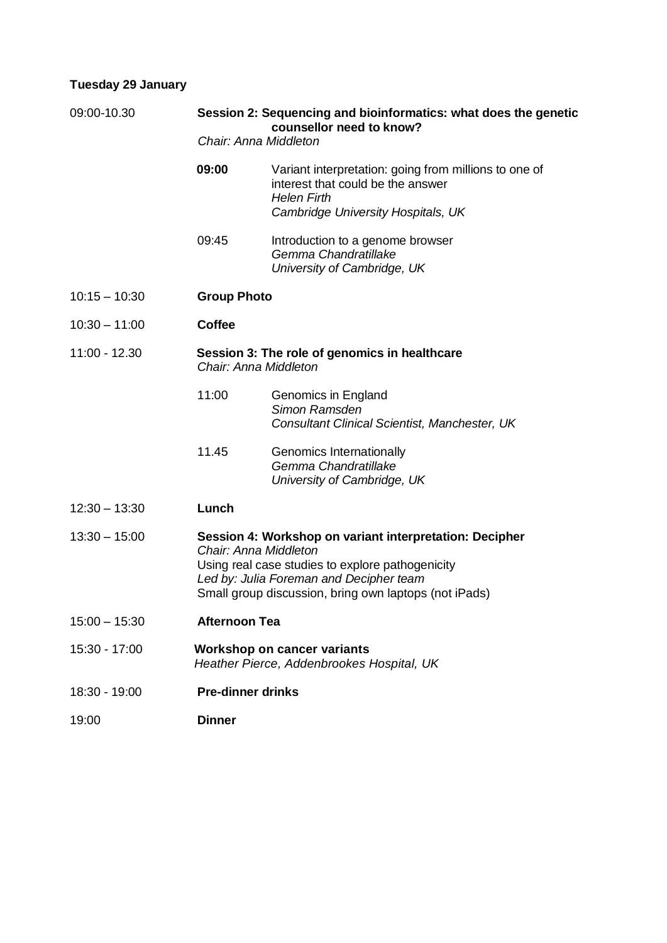# **Tuesday 29 January**

| 09:00-10.30     | Session 2: Sequencing and bioinformatics: what does the genetic<br>counsellor need to know?<br>Chair: Anna Middleton                                                                                                                     |                                                                                                                                                        |  |
|-----------------|------------------------------------------------------------------------------------------------------------------------------------------------------------------------------------------------------------------------------------------|--------------------------------------------------------------------------------------------------------------------------------------------------------|--|
|                 | 09:00                                                                                                                                                                                                                                    | Variant interpretation: going from millions to one of<br>interest that could be the answer<br><b>Helen Firth</b><br>Cambridge University Hospitals, UK |  |
|                 | 09:45                                                                                                                                                                                                                                    | Introduction to a genome browser<br>Gemma Chandratillake<br>University of Cambridge, UK                                                                |  |
| $10:15 - 10:30$ | <b>Group Photo</b>                                                                                                                                                                                                                       |                                                                                                                                                        |  |
| $10:30 - 11:00$ | <b>Coffee</b>                                                                                                                                                                                                                            |                                                                                                                                                        |  |
| $11:00 - 12.30$ | Session 3: The role of genomics in healthcare<br>Chair: Anna Middleton                                                                                                                                                                   |                                                                                                                                                        |  |
|                 | 11:00                                                                                                                                                                                                                                    | Genomics in England<br>Simon Ramsden<br>Consultant Clinical Scientist, Manchester, UK                                                                  |  |
|                 | 11.45                                                                                                                                                                                                                                    | <b>Genomics Internationally</b><br>Gemma Chandratillake<br>University of Cambridge, UK                                                                 |  |
| $12:30 - 13:30$ | Lunch                                                                                                                                                                                                                                    |                                                                                                                                                        |  |
| $13:30 - 15:00$ | Session 4: Workshop on variant interpretation: Decipher<br>Chair: Anna Middleton<br>Using real case studies to explore pathogenicity<br>Led by: Julia Foreman and Decipher team<br>Small group discussion, bring own laptops (not iPads) |                                                                                                                                                        |  |
| $15:00 - 15:30$ | <b>Afternoon Tea</b>                                                                                                                                                                                                                     |                                                                                                                                                        |  |
| 15:30 - 17:00   | <b>Workshop on cancer variants</b><br>Heather Pierce, Addenbrookes Hospital, UK                                                                                                                                                          |                                                                                                                                                        |  |
| 18:30 - 19:00   | <b>Pre-dinner drinks</b>                                                                                                                                                                                                                 |                                                                                                                                                        |  |
| 19:00           | <b>Dinner</b>                                                                                                                                                                                                                            |                                                                                                                                                        |  |